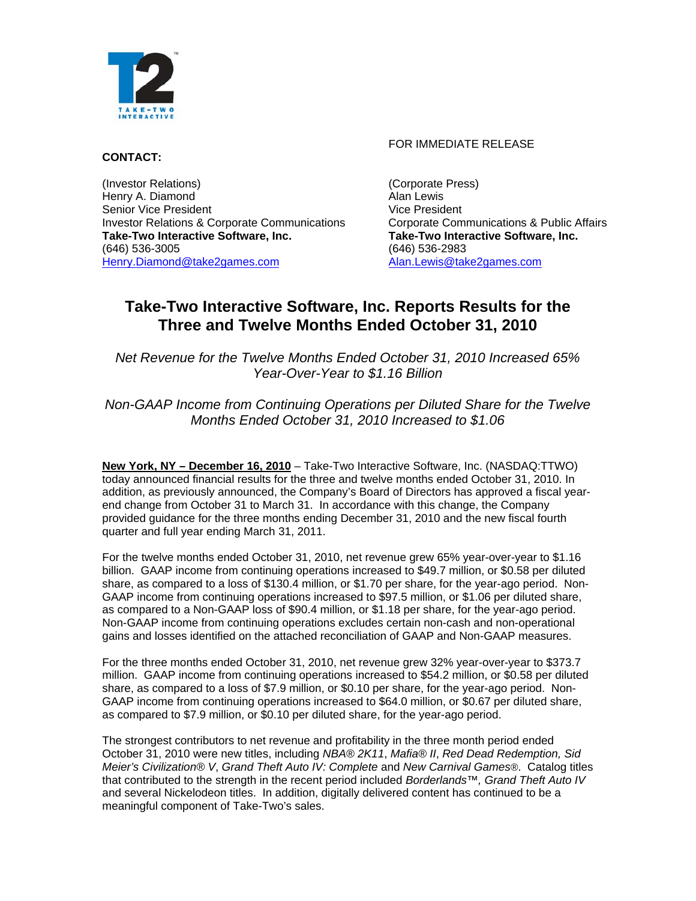

# **CONTACT:**

(Investor Relations) (Corporate Press) Henry A. Diamond **Alan Lewis**<br>
Senior Vice President **Alan Lewis**<br>
Senior Vice President Senior Vice President Investor Relations & Corporate Communications Corporate Communications & Public Affairs **Take-Two Interactive Software, Inc. Take-Two Interactive Software, Inc.**  (646) 536-3005 (646) 536-2983 Henry.Diamond@take2games.com Alan.Lewis@take2games.com

# **FOR IMMEDIATE RELEASE**

# **Take-Two Interactive Software, Inc. Reports Results for the Three and Twelve Months Ended October 31, 2010**

*Net Revenue for the Twelve Months Ended October 31, 2010 Increased 65% Year-Over-Year to \$1.16 Billion* 

*Non-GAAP Income from Continuing Operations per Diluted Share for the Twelve Months Ended October 31, 2010 Increased to \$1.06* 

**New York, NY – December 16, 2010** – Take-Two Interactive Software, Inc. (NASDAQ:TTWO) today announced financial results for the three and twelve months ended October 31, 2010. In addition, as previously announced, the Company's Board of Directors has approved a fiscal yearend change from October 31 to March 31. In accordance with this change, the Company provided guidance for the three months ending December 31, 2010 and the new fiscal fourth quarter and full year ending March 31, 2011.

For the twelve months ended October 31, 2010, net revenue grew 65% year-over-year to \$1.16 billion. GAAP income from continuing operations increased to \$49.7 million, or \$0.58 per diluted share, as compared to a loss of \$130.4 million, or \$1.70 per share, for the year-ago period. Non-GAAP income from continuing operations increased to \$97.5 million, or \$1.06 per diluted share, as compared to a Non-GAAP loss of \$90.4 million, or \$1.18 per share, for the year-ago period. Non-GAAP income from continuing operations excludes certain non-cash and non-operational gains and losses identified on the attached reconciliation of GAAP and Non-GAAP measures.

For the three months ended October 31, 2010, net revenue grew 32% year-over-year to \$373.7 million. GAAP income from continuing operations increased to \$54.2 million, or \$0.58 per diluted share, as compared to a loss of \$7.9 million, or \$0.10 per share, for the year-ago period. Non-GAAP income from continuing operations increased to \$64.0 million, or \$0.67 per diluted share, as compared to \$7.9 million, or \$0.10 per diluted share, for the year-ago period.

The strongest contributors to net revenue and profitability in the three month period ended October 31, 2010 were new titles, including *NBA® 2K11*, *Mafia® II*, *Red Dead Redemption, Sid Meier's Civilization® V*, *Grand Theft Auto IV: Complete* and *New Carnival Games®*. Catalog titles that contributed to the strength in the recent period included *Borderlands™, Grand Theft Auto IV*  and several Nickelodeon titles. In addition, digitally delivered content has continued to be a meaningful component of Take-Two's sales.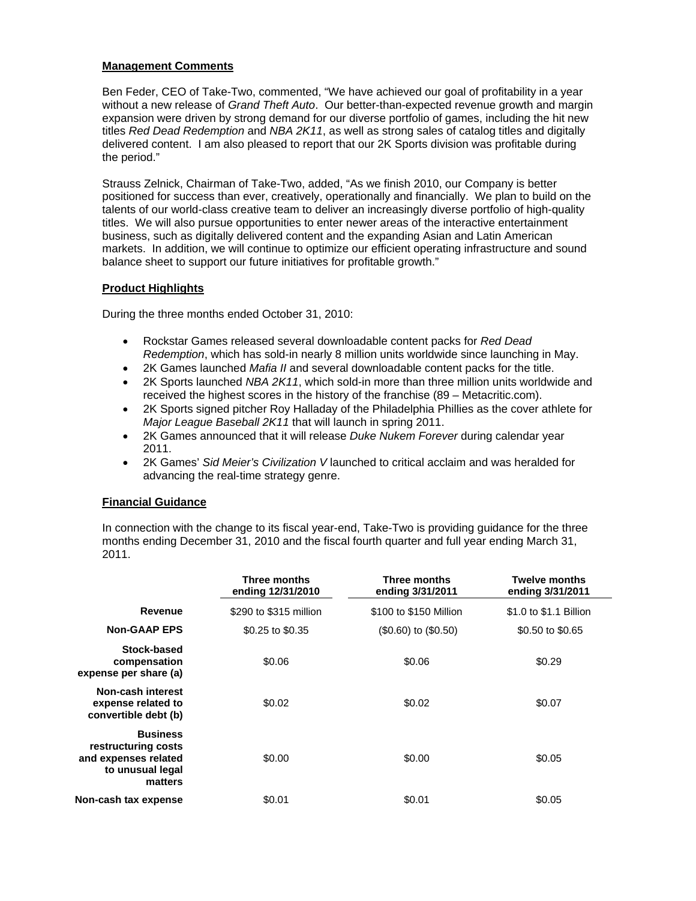### **Management Comments**

Ben Feder, CEO of Take-Two, commented, "We have achieved our goal of profitability in a year without a new release of *Grand Theft Auto*. Our better-than-expected revenue growth and margin expansion were driven by strong demand for our diverse portfolio of games, including the hit new titles *Red Dead Redemption* and *NBA 2K11*, as well as strong sales of catalog titles and digitally delivered content. I am also pleased to report that our 2K Sports division was profitable during the period."

Strauss Zelnick, Chairman of Take-Two, added, "As we finish 2010, our Company is better positioned for success than ever, creatively, operationally and financially. We plan to build on the talents of our world-class creative team to deliver an increasingly diverse portfolio of high-quality titles. We will also pursue opportunities to enter newer areas of the interactive entertainment business, such as digitally delivered content and the expanding Asian and Latin American markets. In addition, we will continue to optimize our efficient operating infrastructure and sound balance sheet to support our future initiatives for profitable growth."

### **Product Highlights**

During the three months ended October 31, 2010:

- Rockstar Games released several downloadable content packs for *Red Dead Redemption*, which has sold-in nearly 8 million units worldwide since launching in May.
- 2K Games launched *Mafia II* and several downloadable content packs for the title.
- 2K Sports launched *NBA 2K11*, which sold-in more than three million units worldwide and received the highest scores in the history of the franchise (89 – Metacritic.com).
- 2K Sports signed pitcher Roy Halladay of the Philadelphia Phillies as the cover athlete for *Major League Baseball 2K11* that will launch in spring 2011.
- 2K Games announced that it will release *Duke Nukem Forever* during calendar year 2011.
- 2K Games' *Sid Meier's Civilization V* launched to critical acclaim and was heralded for advancing the real-time strategy genre.

#### **Financial Guidance**

In connection with the change to its fiscal year-end, Take-Two is providing guidance for the three months ending December 31, 2010 and the fiscal fourth quarter and full year ending March 31, 2011.

|                                                                                               | Three months<br>ending 12/31/2010 | Three months<br>ending 3/31/2011 | <b>Twelve months</b><br>ending 3/31/2011 |
|-----------------------------------------------------------------------------------------------|-----------------------------------|----------------------------------|------------------------------------------|
| Revenue                                                                                       | \$290 to \$315 million            | \$100 to \$150 Million           | \$1.0 to \$1.1 Billion                   |
| <b>Non-GAAP EPS</b>                                                                           | \$0.25 to \$0.35                  | $(\$0.60)$ to $(\$0.50)$         | \$0.50 to \$0.65                         |
| Stock-based<br>compensation<br>expense per share (a)                                          | \$0.06                            | \$0.06                           | \$0.29                                   |
| Non-cash interest<br>expense related to<br>convertible debt (b)                               | \$0.02                            | \$0.02                           | \$0.07                                   |
| <b>Business</b><br>restructuring costs<br>and expenses related<br>to unusual legal<br>matters | \$0.00                            | \$0.00                           | \$0.05                                   |
| Non-cash tax expense                                                                          | \$0.01                            | \$0.01                           | \$0.05                                   |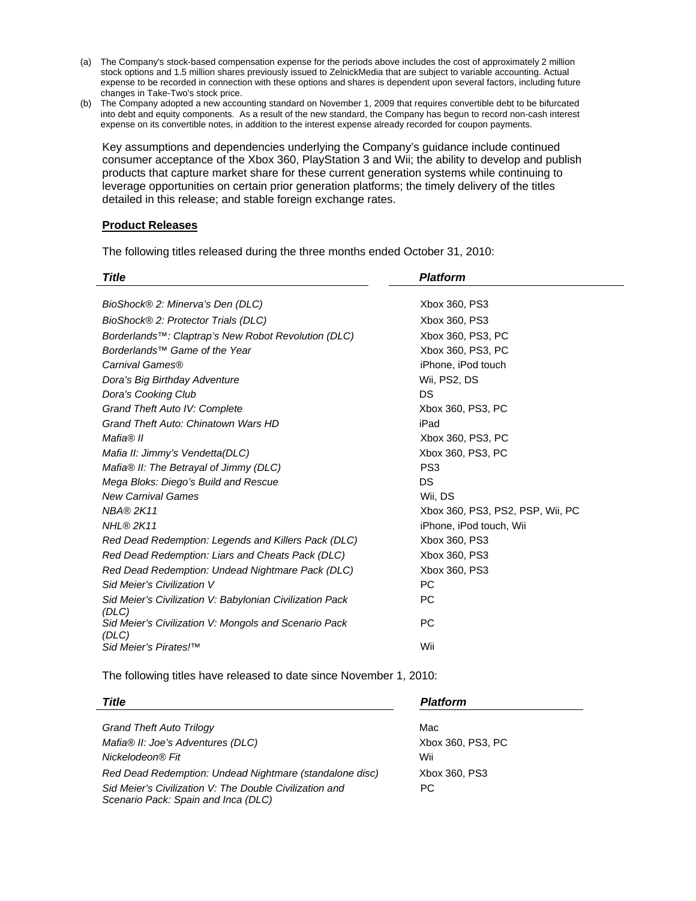- (a) The Company's stock-based compensation expense for the periods above includes the cost of approximately 2 million stock options and 1.5 million shares previously issued to ZelnickMedia that are subject to variable accounting. Actual expense to be recorded in connection with these options and shares is dependent upon several factors, including future changes in Take-Two's stock price.
- (b) The Company adopted a new accounting standard on November 1, 2009 that requires convertible debt to be bifurcated into debt and equity components. As a result of the new standard, the Company has begun to record non-cash interest expense on its convertible notes, in addition to the interest expense already recorded for coupon payments.

Key assumptions and dependencies underlying the Company's guidance include continued consumer acceptance of the Xbox 360, PlayStation 3 and Wii; the ability to develop and publish products that capture market share for these current generation systems while continuing to leverage opportunities on certain prior generation platforms; the timely delivery of the titles detailed in this release; and stable foreign exchange rates.

### **Product Releases**

The following titles released during the three months ended October 31, 2010:

| <b>Title</b>                                                      | <b>Platform</b>                  |
|-------------------------------------------------------------------|----------------------------------|
| BioShock® 2: Minerva's Den (DLC)                                  | Xbox 360, PS3                    |
| BioShock <sup>®</sup> 2: Protector Trials (DLC)                   | Xbox 360, PS3                    |
| Borderlands™: Claptrap's New Robot Revolution (DLC)               | Xbox 360, PS3, PC                |
| Borderlands™ Game of the Year                                     | Xbox 360, PS3, PC                |
| Carnival Games®                                                   | iPhone, iPod touch               |
| Dora's Big Birthday Adventure                                     | Wii, PS2, DS                     |
| Dora's Cooking Club                                               | DS                               |
| Grand Theft Auto IV: Complete                                     | Xbox 360, PS3, PC                |
| Grand Theft Auto: Chinatown Wars HD                               | iPad                             |
| Mafia® II                                                         | Xbox 360, PS3, PC                |
| Mafia II: Jimmy's Vendetta(DLC)                                   | Xbox 360, PS3, PC                |
| Mafia® II: The Betrayal of Jimmy (DLC)                            | PS <sub>3</sub>                  |
| Mega Bloks: Diego's Build and Rescue                              | DS                               |
| <b>New Carnival Games</b>                                         | Wii, DS                          |
| <b>NBA® 2K11</b>                                                  | Xbox 360, PS3, PS2, PSP, Wii, PC |
| <b>NHL® 2K11</b>                                                  | iPhone, iPod touch, Wii          |
| Red Dead Redemption: Legends and Killers Pack (DLC)               | Xbox 360, PS3                    |
| Red Dead Redemption: Liars and Cheats Pack (DLC)                  | Xbox 360, PS3                    |
| Red Dead Redemption: Undead Nightmare Pack (DLC)                  | Xbox 360, PS3                    |
| Sid Meier's Civilization V                                        | <b>PC</b>                        |
| Sid Meier's Civilization V: Babylonian Civilization Pack<br>(DLC) | <b>PC</b>                        |
| Sid Meier's Civilization V: Mongols and Scenario Pack<br>(DLC)    | <b>PC</b>                        |
| Sid Meier's Pirates!™                                             | Wii                              |

The following titles have released to date since November 1, 2010:

| Title                                                                                          | <b>Platform</b>   |
|------------------------------------------------------------------------------------------------|-------------------|
|                                                                                                |                   |
| <b>Grand Theft Auto Trilogy</b>                                                                | Mac               |
| Mafia® II: Joe's Adventures (DLC)                                                              | Xbox 360, PS3, PC |
| Nickelodeon® Fit                                                                               | Wii               |
| Red Dead Redemption: Undead Nightmare (standalone disc)                                        | Xbox 360, PS3     |
| Sid Meier's Civilization V: The Double Civilization and<br>Scenario Pack: Spain and Inca (DLC) | PC.               |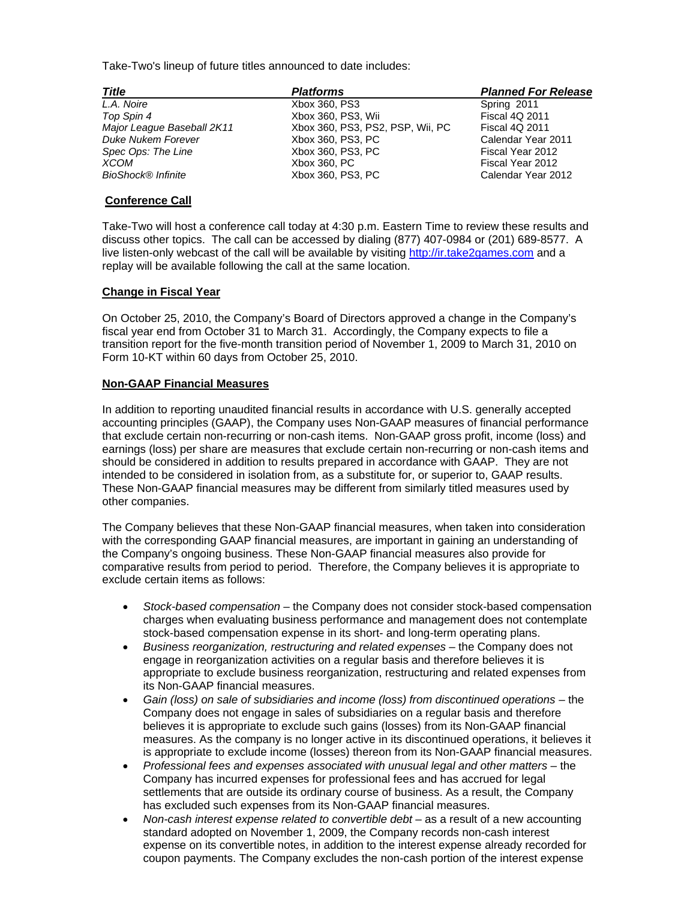Take-Two's lineup of future titles announced to date includes:

| Title                      | <b>Platforms</b>                 | <b>Planned For Release</b> |
|----------------------------|----------------------------------|----------------------------|
| L.A. Noire                 | Xbox 360, PS3                    | Spring 2011                |
| Top Spin 4                 | Xbox 360, PS3, Wii               | <b>Fiscal 4Q 2011</b>      |
| Major League Baseball 2K11 | Xbox 360, PS3, PS2, PSP, Wii, PC | <b>Fiscal 4Q 2011</b>      |
| Duke Nukem Forever         | Xbox 360, PS3, PC                | Calendar Year 2011         |
| Spec Ops: The Line         | Xbox 360, PS3, PC                | Fiscal Year 2012           |
| XCOM                       | Xbox 360, PC                     | Fiscal Year 2012           |
| <b>BioShock® Infinite</b>  | Xbox 360, PS3, PC                | Calendar Year 2012         |

#### **Conference Call**

Take-Two will host a conference call today at 4:30 p.m. Eastern Time to review these results and discuss other topics. The call can be accessed by dialing (877) 407-0984 or (201) 689-8577. A live listen-only webcast of the call will be available by visiting http://ir.take2games.com and a replay will be available following the call at the same location.

#### **Change in Fiscal Year**

On October 25, 2010, the Company's Board of Directors approved a change in the Company's fiscal year end from October 31 to March 31. Accordingly, the Company expects to file a transition report for the five-month transition period of November 1, 2009 to March 31, 2010 on Form 10-KT within 60 days from October 25, 2010.

#### **Non-GAAP Financial Measures**

In addition to reporting unaudited financial results in accordance with U.S. generally accepted accounting principles (GAAP), the Company uses Non-GAAP measures of financial performance that exclude certain non-recurring or non-cash items. Non-GAAP gross profit, income (loss) and earnings (loss) per share are measures that exclude certain non-recurring or non-cash items and should be considered in addition to results prepared in accordance with GAAP. They are not intended to be considered in isolation from, as a substitute for, or superior to, GAAP results. These Non-GAAP financial measures may be different from similarly titled measures used by other companies.

The Company believes that these Non-GAAP financial measures, when taken into consideration with the corresponding GAAP financial measures, are important in gaining an understanding of the Company's ongoing business. These Non-GAAP financial measures also provide for comparative results from period to period. Therefore, the Company believes it is appropriate to exclude certain items as follows:

- *Stock-based compensation* the Company does not consider stock-based compensation charges when evaluating business performance and management does not contemplate stock-based compensation expense in its short- and long-term operating plans.
- *Business reorganization, restructuring and related expenses* the Company does not engage in reorganization activities on a regular basis and therefore believes it is appropriate to exclude business reorganization, restructuring and related expenses from its Non-GAAP financial measures.
- *Gain (loss) on sale of subsidiaries and income (loss) from discontinued operations* the Company does not engage in sales of subsidiaries on a regular basis and therefore believes it is appropriate to exclude such gains (losses) from its Non-GAAP financial measures. As the company is no longer active in its discontinued operations, it believes it is appropriate to exclude income (losses) thereon from its Non-GAAP financial measures.
- *Professional fees and expenses associated with unusual legal and other matters* the Company has incurred expenses for professional fees and has accrued for legal settlements that are outside its ordinary course of business. As a result, the Company has excluded such expenses from its Non-GAAP financial measures.
- *Non-cash interest expense related to convertible debt* as a result of a new accounting standard adopted on November 1, 2009, the Company records non-cash interest expense on its convertible notes, in addition to the interest expense already recorded for coupon payments. The Company excludes the non-cash portion of the interest expense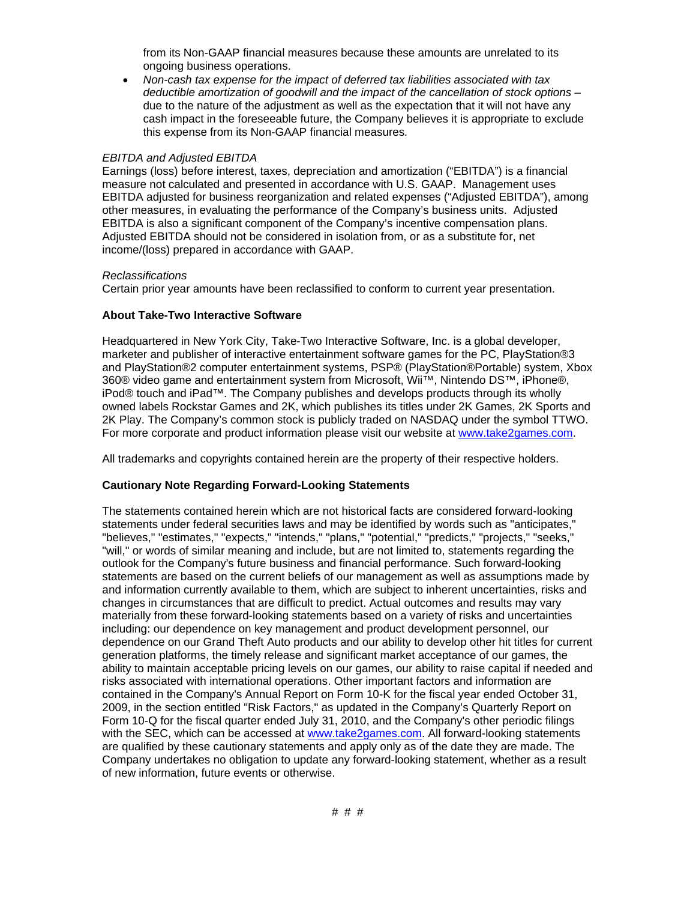from its Non-GAAP financial measures because these amounts are unrelated to its ongoing business operations.

• *Non-cash tax expense for the impact of deferred tax liabilities associated with tax deductible amortization of goodwill and the impact of the cancellation of stock options* – due to the nature of the adjustment as well as the expectation that it will not have any cash impact in the foreseeable future, the Company believes it is appropriate to exclude this expense from its Non-GAAP financial measures*.*

#### *EBITDA and Adjusted EBITDA*

Earnings (loss) before interest, taxes, depreciation and amortization ("EBITDA") is a financial measure not calculated and presented in accordance with U.S. GAAP. Management uses EBITDA adjusted for business reorganization and related expenses ("Adjusted EBITDA"), among other measures, in evaluating the performance of the Company's business units. Adjusted EBITDA is also a significant component of the Company's incentive compensation plans. Adjusted EBITDA should not be considered in isolation from, or as a substitute for, net income/(loss) prepared in accordance with GAAP.

#### *Reclassifications*

Certain prior year amounts have been reclassified to conform to current year presentation.

#### **About Take-Two Interactive Software**

Headquartered in New York City, Take-Two Interactive Software, Inc. is a global developer, marketer and publisher of interactive entertainment software games for the PC, PlayStation®3 and PlayStation®2 computer entertainment systems, PSP® (PlayStation®Portable) system, Xbox 360® video game and entertainment system from Microsoft, Wii™, Nintendo DS™, iPhone®, iPod® touch and iPad™. The Company publishes and develops products through its wholly owned labels Rockstar Games and 2K, which publishes its titles under 2K Games, 2K Sports and 2K Play. The Company's common stock is publicly traded on NASDAQ under the symbol TTWO. For more corporate and product information please visit our website at www.take2games.com.

All trademarks and copyrights contained herein are the property of their respective holders.

#### **Cautionary Note Regarding Forward-Looking Statements**

The statements contained herein which are not historical facts are considered forward-looking statements under federal securities laws and may be identified by words such as "anticipates," "believes," "estimates," "expects," "intends," "plans," "potential," "predicts," "projects," "seeks," "will," or words of similar meaning and include, but are not limited to, statements regarding the outlook for the Company's future business and financial performance. Such forward-looking statements are based on the current beliefs of our management as well as assumptions made by and information currently available to them, which are subject to inherent uncertainties, risks and changes in circumstances that are difficult to predict. Actual outcomes and results may vary materially from these forward-looking statements based on a variety of risks and uncertainties including: our dependence on key management and product development personnel, our dependence on our Grand Theft Auto products and our ability to develop other hit titles for current generation platforms, the timely release and significant market acceptance of our games, the ability to maintain acceptable pricing levels on our games, our ability to raise capital if needed and risks associated with international operations. Other important factors and information are contained in the Company's Annual Report on Form 10-K for the fiscal year ended October 31, 2009, in the section entitled "Risk Factors," as updated in the Company's Quarterly Report on Form 10-Q for the fiscal quarter ended July 31, 2010, and the Company's other periodic filings with the SEC, which can be accessed at www.take2games.com. All forward-looking statements are qualified by these cautionary statements and apply only as of the date they are made. The Company undertakes no obligation to update any forward-looking statement, whether as a result of new information, future events or otherwise.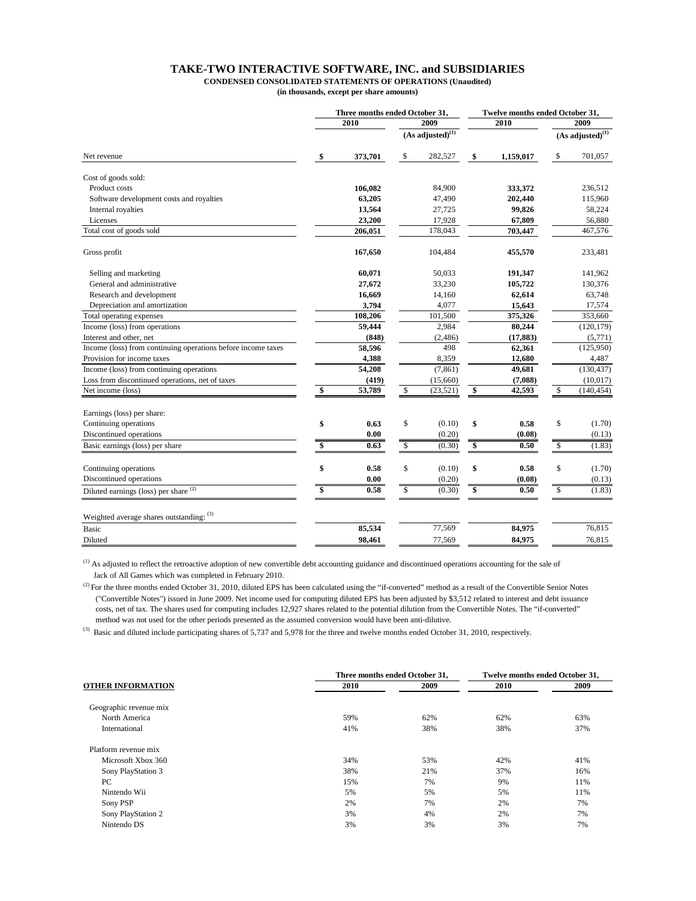**CONDENSED CONSOLIDATED STATEMENTS OF OPERATIONS (Unaudited)**

**(in thousands, except per share amounts)**

|                                                              | Three months ended October 31, |                         |                       | Twelve months ended October 31, |                      |                       |  |  |
|--------------------------------------------------------------|--------------------------------|-------------------------|-----------------------|---------------------------------|----------------------|-----------------------|--|--|
|                                                              | 2010                           |                         | 2009                  | 2010                            |                      | 2009                  |  |  |
|                                                              |                                |                         | $(As adjusted)^{(1)}$ |                                 |                      | $(As adjusted)^{(1)}$ |  |  |
| Net revenue                                                  | \$<br>373,701                  | \$                      | 282,527               | \$<br>1,159,017                 | \$                   | 701,057               |  |  |
| Cost of goods sold:                                          |                                |                         |                       |                                 |                      |                       |  |  |
| Product costs                                                | 106,082                        |                         | 84,900                | 333,372                         |                      | 236,512               |  |  |
| Software development costs and royalties                     | 63,205                         |                         | 47,490                | 202,440                         |                      | 115,960               |  |  |
| Internal royalties                                           | 13,564                         |                         | 27,725                | 99,826                          |                      | 58,224                |  |  |
| Licenses                                                     | 23,200                         |                         | 17,928                | 67,809                          |                      | 56,880                |  |  |
| Total cost of goods sold                                     | 206,051                        |                         | 178,043               | 703,447                         |                      | 467,576               |  |  |
| Gross profit                                                 | 167,650                        |                         | 104,484               | 455,570                         |                      | 233,481               |  |  |
| Selling and marketing                                        | 60,071                         |                         | 50,033                | 191,347                         |                      | 141,962               |  |  |
| General and administrative                                   | 27,672                         |                         | 33,230                | 105,722                         |                      | 130,376               |  |  |
| Research and development                                     | 16,669                         |                         | 14,160                | 62,614                          |                      | 63,748                |  |  |
| Depreciation and amortization                                | 3,794                          |                         | 4,077                 | 15,643                          |                      | 17,574                |  |  |
| Total operating expenses                                     | 108,206                        |                         | 101,500               | 375,326                         |                      | 353,660               |  |  |
| Income (loss) from operations                                | 59,444                         |                         | 2,984                 | 80,244                          |                      | (120, 179)            |  |  |
| Interest and other, net                                      | (848)                          |                         | (2, 486)              | (17, 883)                       |                      | (5, 771)              |  |  |
| Income (loss) from continuing operations before income taxes | 58,596                         |                         | 498                   | 62,361                          |                      | (125,950)             |  |  |
| Provision for income taxes                                   | 4,388                          |                         | 8,359                 | 12,680                          |                      | 4,487                 |  |  |
| Income (loss) from continuing operations                     | 54,208                         |                         | (7, 861)              | 49,681                          |                      | (130, 437)            |  |  |
| Loss from discontinued operations, net of taxes              | (419)                          |                         | (15,660)              | (7,088)                         |                      | (10,017)              |  |  |
| Net income (loss)                                            | \$<br>53,789                   | $\$$                    | (23, 521)             | \$<br>42,593                    | \$                   | (140, 454)            |  |  |
| Earnings (loss) per share:                                   |                                |                         |                       |                                 |                      |                       |  |  |
| Continuing operations                                        | \$<br>0.63                     | \$                      | (0.10)                | \$<br>0.58                      | \$                   | (1.70)                |  |  |
| Discontinued operations                                      | 0.00                           |                         | (0.20)                | (0.08)                          |                      | (0.13)                |  |  |
| Basic earnings (loss) per share                              | \$<br>0.63                     | \$                      | (0.30)                | \$<br>0.50                      | \$                   | (1.83)                |  |  |
| Continuing operations                                        | \$<br>0.58                     | \$                      | (0.10)                | \$<br>0.58                      | \$                   | (1.70)                |  |  |
| Discontinued operations                                      | 0.00                           |                         | (0.20)                | (0.08)                          |                      | (0.13)                |  |  |
| Diluted earnings (loss) per share <sup>(2)</sup>             | \$<br>0.58                     | $\overline{\mathbb{S}}$ | (0.30)                | \$<br>0.50                      | $\sqrt{\frac{2}{5}}$ | (1.83)                |  |  |
| Weighted average shares outstanding: (3)                     |                                |                         |                       |                                 |                      |                       |  |  |
| <b>Basic</b>                                                 | 85,534                         |                         | 77,569                | 84,975                          |                      | 76,815                |  |  |
| Diluted                                                      | 98.461                         |                         | 77,569                | 84,975                          |                      | 76,815                |  |  |

<sup>(1)</sup> As adjusted to reflect the retroactive adoption of new convertible debt accounting guidance and discontinued operations accounting for the sale of Jack of All Games which was completed in February 2010.

 $^{(2)}$  For the three months ended October 31, 2010, diluted EPS has been calculated using the "if-converted" method as a result of the Convertible Senior Notes ("Convertible Notes") issued in June 2009. Net income used for computing diluted EPS has been adjusted by \$3,512 related to interest and debt issuance costs, net of tax. The shares used for computing includes 12,927 shares related to the potential dilution from the Convertible Notes. The "if-converted" method was not used for the other periods presented as the assumed conversion would have been anti-dilutive.

<sup>(3)</sup> Basic and diluted include participating shares of 5,737 and 5,978 for the three and twelve months ended October 31, 2010, respectively.

|                        | Three months ended October 31, | Twelve months ended October 31, |      |      |
|------------------------|--------------------------------|---------------------------------|------|------|
| OTHER INFORMATION      | 2010                           | 2009                            | 2010 | 2009 |
| Geographic revenue mix |                                |                                 |      |      |
| North America          | 59%                            | 62%                             | 62%  | 63%  |
| International          | 41%                            | 38%                             | 38%  | 37%  |
| Platform revenue mix   |                                |                                 |      |      |
| Microsoft Xbox 360     | 34%                            | 53%                             | 42%  | 41%  |
| Sony PlayStation 3     | 38%                            | 21%                             | 37%  | 16%  |
| PC                     | 15%                            | 7%                              | 9%   | 11%  |
| Nintendo Wii           | 5%                             | 5%                              | 5%   | 11%  |
| Sony PSP               | 2%                             | 7%                              | 2%   | 7%   |
| Sony PlayStation 2     | 3%                             | 4%                              | 2%   | 7%   |
| Nintendo DS            | 3%                             | 3%                              | 3%   | 7%   |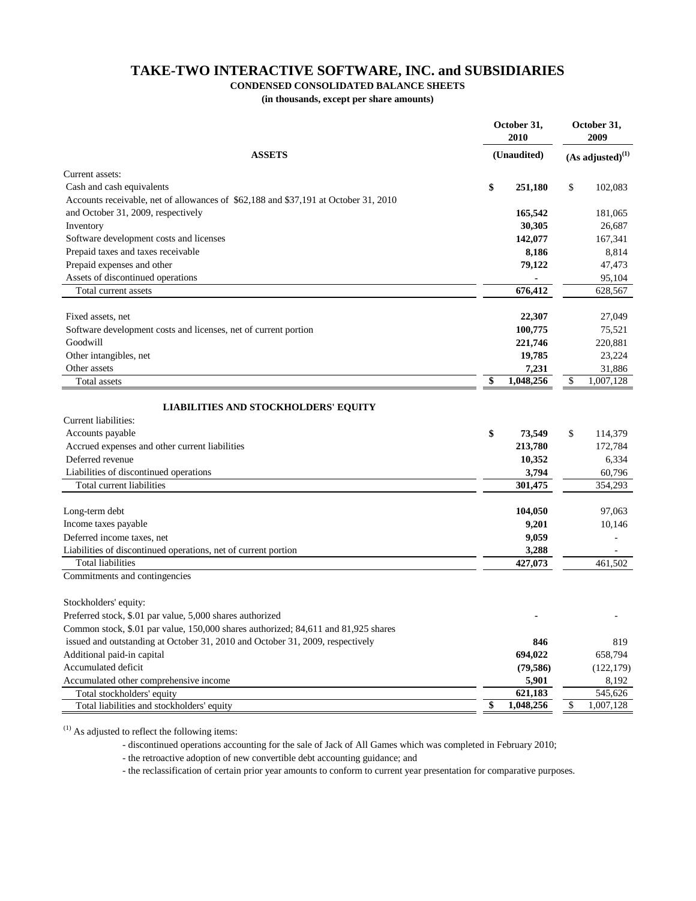**CONDENSED CONSOLIDATED BALANCE SHEETS**

**(in thousands, except per share amounts)**

|                                                                                     | October 31,<br>2010 | October 31,<br>2009   |
|-------------------------------------------------------------------------------------|---------------------|-----------------------|
| <b>ASSETS</b>                                                                       | (Unaudited)         | $(As adjusted)^{(1)}$ |
| Current assets:                                                                     |                     |                       |
| Cash and cash equivalents                                                           | \$<br>251,180       | \$<br>102,083         |
| Accounts receivable, net of allowances of \$62,188 and \$37,191 at October 31, 2010 |                     |                       |
| and October 31, 2009, respectively                                                  | 165,542             | 181,065               |
| Inventory                                                                           | 30,305              | 26,687                |
| Software development costs and licenses                                             | 142,077             | 167,341               |
| Prepaid taxes and taxes receivable                                                  | 8,186               | 8,814                 |
| Prepaid expenses and other                                                          | 79,122              | 47,473                |
| Assets of discontinued operations                                                   |                     | 95,104                |
| Total current assets                                                                | 676,412             | 628,567               |
|                                                                                     |                     |                       |
| Fixed assets, net                                                                   | 22,307              | 27,049                |
| Software development costs and licenses, net of current portion                     | 100,775             | 75,521                |
| Goodwill                                                                            | 221,746             | 220,881               |
| Other intangibles, net                                                              | 19,785              | 23,224                |
| Other assets                                                                        | 7,231               | 31,886                |
| Total assets                                                                        | \$<br>1,048,256     | \$<br>1,007,128       |
| <b>LIABILITIES AND STOCKHOLDERS' EQUITY</b><br>Current liabilities:                 |                     |                       |
| Accounts payable                                                                    | \$<br>73,549        | \$<br>114,379         |
| Accrued expenses and other current liabilities                                      | 213,780             | 172,784               |
| Deferred revenue                                                                    | 10,352              | 6,334                 |
| Liabilities of discontinued operations                                              | 3,794               | 60,796                |
| Total current liabilities                                                           | 301,475             | 354,293               |
| Long-term debt                                                                      | 104,050             | 97,063                |
| Income taxes payable                                                                | 9,201               | 10,146                |
| Deferred income taxes, net                                                          | 9,059               |                       |
| Liabilities of discontinued operations, net of current portion                      | 3,288               |                       |
| <b>Total liabilities</b>                                                            | 427,073             | 461,502               |
| Commitments and contingencies                                                       |                     |                       |
| Stockholders' equity:                                                               |                     |                       |
| Preferred stock, \$.01 par value, 5,000 shares authorized                           |                     |                       |
| Common stock, \$.01 par value, 150,000 shares authorized; 84,611 and 81,925 shares  |                     |                       |
| issued and outstanding at October 31, 2010 and October 31, 2009, respectively       | 846                 | 819                   |
| Additional paid-in capital                                                          | 694,022             | 658,794               |
| Accumulated deficit                                                                 | (79, 586)           | (122, 179)            |
| Accumulated other comprehensive income                                              | 5,901               | 8,192                 |
| Total stockholders' equity                                                          | 621,183             | 545,626               |
| Total liabilities and stockholders' equity                                          | \$<br>1,048,256     | \$<br>1,007,128       |

(1) As adjusted to reflect the following items:

- discontinued operations accounting for the sale of Jack of All Games which was completed in February 2010;

- the retroactive adoption of new convertible debt accounting guidance; and

- the reclassification of certain prior year amounts to conform to current year presentation for comparative purposes.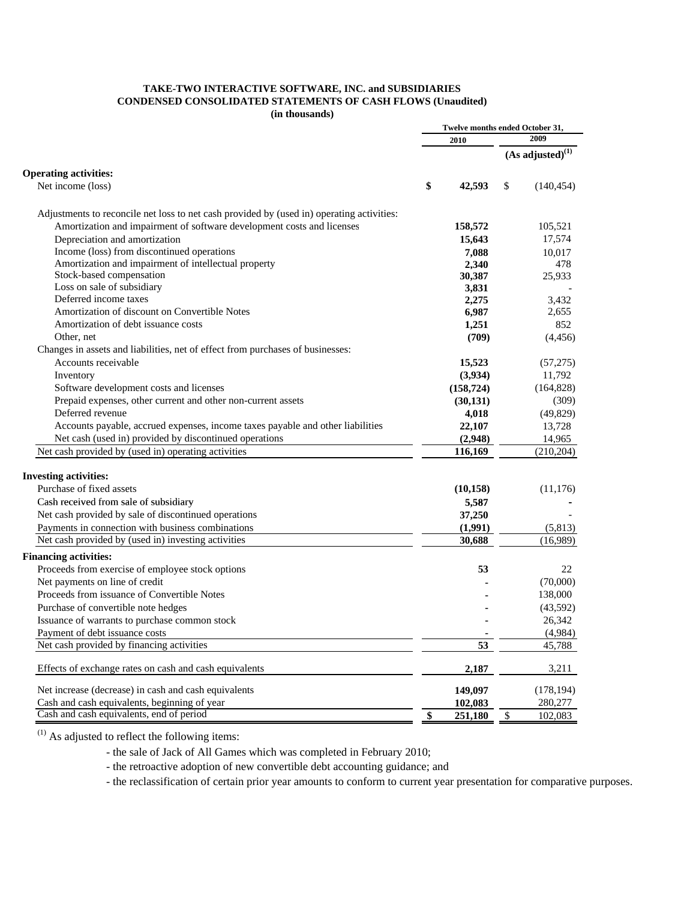# **TAKE-TWO INTERACTIVE SOFTWARE, INC. and SUBSIDIARIES CONDENSED CONSOLIDATED STATEMENTS OF CASH FLOWS (Unaudited)**

**(in thousands)**

|                                                                                           | Twelve months ended October 31, |             |                       |
|-------------------------------------------------------------------------------------------|---------------------------------|-------------|-----------------------|
|                                                                                           | 2010                            |             | 2009                  |
|                                                                                           |                                 |             | $(As adjusted)^{(1)}$ |
| <b>Operating activities:</b>                                                              |                                 |             |                       |
| Net income (loss)                                                                         | \$<br>42,593                    | \$          | (140, 454)            |
| Adjustments to reconcile net loss to net cash provided by (used in) operating activities: |                                 |             |                       |
| Amortization and impairment of software development costs and licenses                    | 158,572                         |             | 105,521               |
| Depreciation and amortization                                                             | 15,643                          |             | 17,574                |
| Income (loss) from discontinued operations                                                | 7,088                           |             | 10,017                |
| Amortization and impairment of intellectual property                                      | 2,340                           |             | 478                   |
| Stock-based compensation                                                                  | 30,387                          |             | 25,933                |
| Loss on sale of subsidiary                                                                | 3,831                           |             |                       |
| Deferred income taxes                                                                     | 2,275                           |             | 3,432                 |
| Amortization of discount on Convertible Notes                                             | 6,987                           |             | 2,655                 |
| Amortization of debt issuance costs                                                       | 1,251                           |             | 852                   |
| Other, net                                                                                | (709)                           |             | (4, 456)              |
| Changes in assets and liabilities, net of effect from purchases of businesses:            |                                 |             |                       |
| Accounts receivable                                                                       | 15,523                          |             | (57, 275)             |
| Inventory                                                                                 | (3,934)                         |             | 11,792                |
| Software development costs and licenses                                                   | (158, 724)                      |             | (164, 828)            |
| Prepaid expenses, other current and other non-current assets                              | (30, 131)                       |             | (309)                 |
| Deferred revenue                                                                          | 4,018                           |             | (49, 829)             |
| Accounts payable, accrued expenses, income taxes payable and other liabilities            | 22,107                          |             | 13,728                |
| Net cash (used in) provided by discontinued operations                                    | (2,948)                         |             | 14,965                |
| Net cash provided by (used in) operating activities                                       | 116,169                         |             | (210, 204)            |
| <b>Investing activities:</b>                                                              |                                 |             |                       |
| Purchase of fixed assets                                                                  | (10, 158)                       |             | (11, 176)             |
| Cash received from sale of subsidiary                                                     | 5,587                           |             |                       |
| Net cash provided by sale of discontinued operations                                      | 37,250                          |             |                       |
| Payments in connection with business combinations                                         | (1,991)                         |             | (5,813)               |
| Net cash provided by (used in) investing activities                                       | 30,688                          |             | (16,989)              |
| <b>Financing activities:</b>                                                              |                                 |             |                       |
| Proceeds from exercise of employee stock options                                          | 53                              |             | 22                    |
| Net payments on line of credit                                                            |                                 |             | (70,000)              |
| Proceeds from issuance of Convertible Notes                                               |                                 |             | 138,000               |
| Purchase of convertible note hedges                                                       |                                 |             | (43,592)              |
| Issuance of warrants to purchase common stock                                             |                                 |             | 26,342                |
| Payment of debt issuance costs                                                            |                                 |             | (4,984)               |
| Net cash provided by financing activities                                                 | 53                              |             | 45,788                |
| Effects of exchange rates on cash and cash equivalents                                    | 2,187                           |             | 3,211                 |
| Net increase (decrease) in cash and cash equivalents                                      | 149,097                         |             | (178, 194)            |
| Cash and cash equivalents, beginning of year                                              | 102,083                         |             | 280,277               |
| Cash and cash equivalents, end of period                                                  | \$<br>251,180                   | $\mathbb S$ | 102,083               |

 $^{(1)}$  As adjusted to reflect the following items:

- the sale of Jack of All Games which was completed in February 2010;

- the retroactive adoption of new convertible debt accounting guidance; and

- the reclassification of certain prior year amounts to conform to current year presentation for comparative purposes.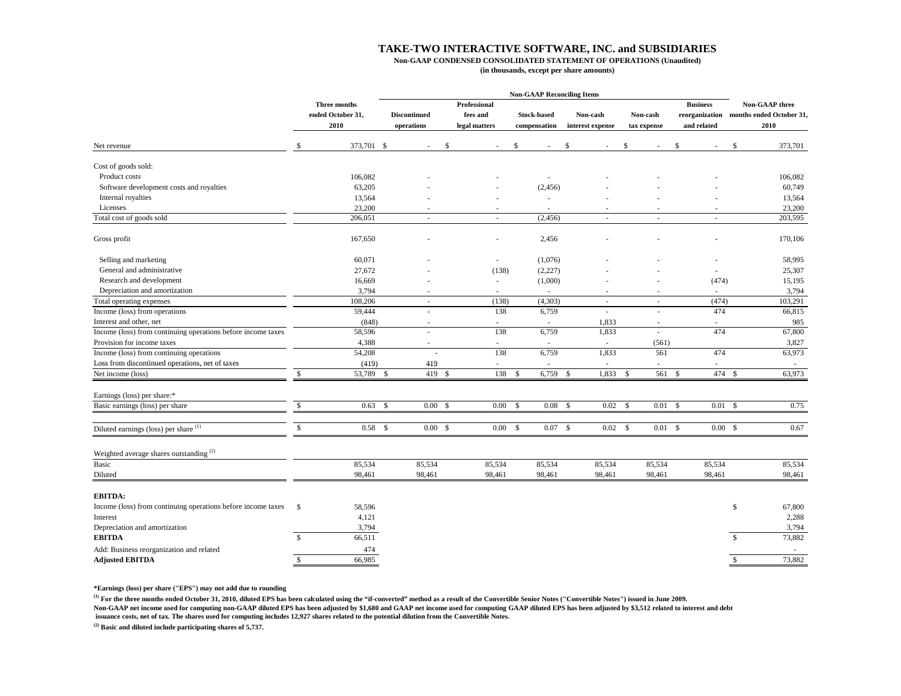**Non-GAAP CONDENSED CONSOLIDATED STATEMENT OF OPERATIONS (Unaudited)**

**(in thousands, except per share amounts)**

|                                                              |                         |            |                                  |              |                                | <b>Non-GAAP Reconciling Items</b> |             |                  |              |                          |              |                   |              |                                         |
|--------------------------------------------------------------|-------------------------|------------|----------------------------------|--------------|--------------------------------|-----------------------------------|-------------|------------------|--------------|--------------------------|--------------|-------------------|--------------|-----------------------------------------|
|                                                              | Three months            |            |                                  | Professional |                                |                                   |             | <b>Business</b>  |              | Non-GAAP three           |              |                   |              |                                         |
|                                                              | ended October 31,       |            | <b>Discontinued</b>              |              | fees and<br><b>Stock-based</b> |                                   |             | Non-cash         | Non-cash     |                          |              |                   |              | reorganization months ended October 31, |
|                                                              | 2010                    |            | operations                       |              | legal matters                  | compensation                      |             | interest expense | tax expense  |                          |              | and related       |              | 2010                                    |
| Net revenue                                                  | \$                      | 373,701 \$ | $\sim$                           | \$           |                                | \$                                | \$          |                  | \$           | ×.                       | $\mathbb{S}$ | $\sim$            | \$           | 373,701                                 |
| Cost of goods sold:                                          |                         |            |                                  |              |                                |                                   |             |                  |              |                          |              |                   |              |                                         |
| Product costs                                                |                         | 106,082    |                                  |              |                                | $\sim$                            |             |                  |              |                          |              |                   |              | 106,082                                 |
| Software development costs and royalties                     |                         | 63,205     |                                  |              |                                | (2, 456)                          |             |                  |              |                          |              |                   |              | 60,749                                  |
| Internal royalties                                           |                         | 13,564     |                                  |              |                                | $\sim$                            |             |                  |              |                          |              |                   |              | 13,564                                  |
| Licenses                                                     |                         | 23,200     | $\sim$                           |              | $\sim$                         | $\sim$                            |             |                  | ٠            |                          |              | ٠                 |              | 23,200                                  |
| Total cost of goods sold                                     |                         | 206,051    | $\sim$                           |              | $\sim$                         | (2, 456)                          |             | $\overline{a}$   | ÷.           |                          |              | ×.                |              | 203,595                                 |
| Gross profit                                                 |                         | 167,650    |                                  |              |                                | 2,456                             |             |                  |              |                          |              |                   |              | 170,106                                 |
| Selling and marketing                                        |                         | 60,071     |                                  |              | ×.                             | (1,076)                           |             |                  |              |                          |              |                   |              | 58,995                                  |
| General and administrative                                   |                         | 27,672     |                                  |              | (138)                          | (2,227)                           |             |                  |              |                          |              | ×.                |              | 25,307                                  |
| Research and development                                     |                         | 16,669     |                                  |              | ä,                             | (1,000)                           |             |                  |              |                          |              | (474)             |              | 15,195                                  |
| Depreciation and amortization                                |                         | 3,794      | $\sim$                           |              | $\overline{\phantom{a}}$       | $\sim$                            |             |                  | ×            |                          |              | $\sim$            |              | 3,794                                   |
| Total operating expenses                                     |                         | 108,206    | $\sim$                           |              | (138)                          | (4,303)                           |             | ÷.               |              | $\overline{\phantom{a}}$ |              | (474)             |              | 103,291                                 |
| Income (loss) from operations                                |                         | 59,444     |                                  |              | 138                            | 6,759                             |             |                  |              |                          |              | 474               |              | 66,815                                  |
| Interest and other, net                                      |                         | (848)      | $\sim$                           |              | $\overline{\phantom{a}}$       | $\sim$                            |             | 1,833            |              | $\overline{\phantom{a}}$ |              | $\sim$            |              | 985                                     |
| Income (loss) from continuing operations before income taxes |                         | 58,596     |                                  |              | 138                            | 6,759                             |             | 1,833            |              | ÷.                       |              | 474               |              | 67,800                                  |
| Provision for income taxes                                   |                         | 4,388      |                                  |              |                                |                                   |             |                  |              | (561)                    |              |                   |              | 3,827                                   |
| Income (loss) from continuing operations                     |                         | 54,208     |                                  |              | 138                            | 6,759                             |             | 1,833            |              | 561                      |              | 474               |              | 63,973                                  |
| Loss from discontinued operations, net of taxes              |                         | (419)      | 419                              |              |                                |                                   |             |                  |              |                          |              |                   |              |                                         |
| Net income (loss)                                            | $\mathbf S$             | 53,789     | $\mathbb{S}$                     | 419 \$       | 138                            | $\mathbf{\hat{s}}$<br>6,759       | $\mathbf S$ | 1,833            | $\mathbb{S}$ | 561                      | $\mathbf{s}$ | 474 \$            |              | 63,973                                  |
| Earnings (loss) per share:*                                  |                         |            |                                  |              |                                |                                   |             |                  |              |                          |              |                   |              |                                         |
| Basic earnings (loss) per share                              | $\overline{\mathbf{s}}$ | 0.63       | $0.00\  \  \,$ \$<br>$\mathbf S$ |              | 0.00                           | $\mathbf S$                       | $0.08-5$    | 0.02             | $\mathbb{S}$ | 0.01                     | - S          | 0.01S             |              | 0.75                                    |
| Diluted earnings (loss) per share <sup>(1)</sup>             | $\mathbb{S}$            | $0.58$ \$  | 0.00 S                           |              | 0.00                           | \$                                | 0.07 S      | $0.02$ \$        |              | $0.01 \quad$ \$          |              | $0.00\  \  \,$ \$ |              | 0.67                                    |
| Weighted average shares outstanding <sup>(2)</sup>           |                         |            |                                  |              |                                |                                   |             |                  |              |                          |              |                   |              |                                         |
| Basic                                                        |                         | 85,534     | 85,534                           |              | 85,534                         | 85,534                            |             | 85,534           | 85,534       |                          |              | 85,534            |              | 85,534                                  |
| Diluted                                                      |                         | 98,461     | 98,461                           |              | 98,461                         | 98,461                            |             | 98,461           | 98,461       |                          |              | 98,461            |              | 98,461                                  |
| <b>EBITDA:</b>                                               |                         |            |                                  |              |                                |                                   |             |                  |              |                          |              |                   |              |                                         |
| Income (loss) from continuing operations before income taxes | \$                      | 58,596     |                                  |              |                                |                                   |             |                  |              |                          |              |                   | \$           | 67,800                                  |
| Interest                                                     |                         | 4,121      |                                  |              |                                |                                   |             |                  |              |                          |              |                   |              | 2,288                                   |
| Depreciation and amortization                                |                         | 3,794      |                                  |              |                                |                                   |             |                  |              |                          |              |                   |              | 3,794                                   |
| <b>EBITDA</b>                                                | $\mathbb{S}$            | 66,511     |                                  |              |                                |                                   |             |                  |              |                          |              |                   | $\mathbf{s}$ | 73,882                                  |
| Add: Business reorganization and related                     |                         | 474        |                                  |              |                                |                                   |             |                  |              |                          |              |                   |              | $\sim$                                  |
| <b>Adjusted EBITDA</b>                                       | $\mathbf S$             | 66.985     |                                  |              |                                |                                   |             |                  |              |                          |              |                   | $\mathbf{s}$ | 73,882                                  |

**\*Earnings (loss) per share ("EPS") may not add due to rounding**

(1) For the three months ended October 31, 2010, diluted EPS has been calculated using the "if-converted" method as a result of the Convertible Senior Notes ("Convertible Notes") issued in June 2009. Non-GAAP net income used for computing non-GAAP diluted EPS has been adjusted by \$1,680 and GAAP net income used for computing GAAP diluted EPS has been adjusted by \$3,512 related to interest and debt  **issuance costs, net of tax. The shares used for computing includes 12,927 shares related to the potential dilution from the Convertible Notes.** 

**(2) Basic and diluted include participating shares of 5,737.**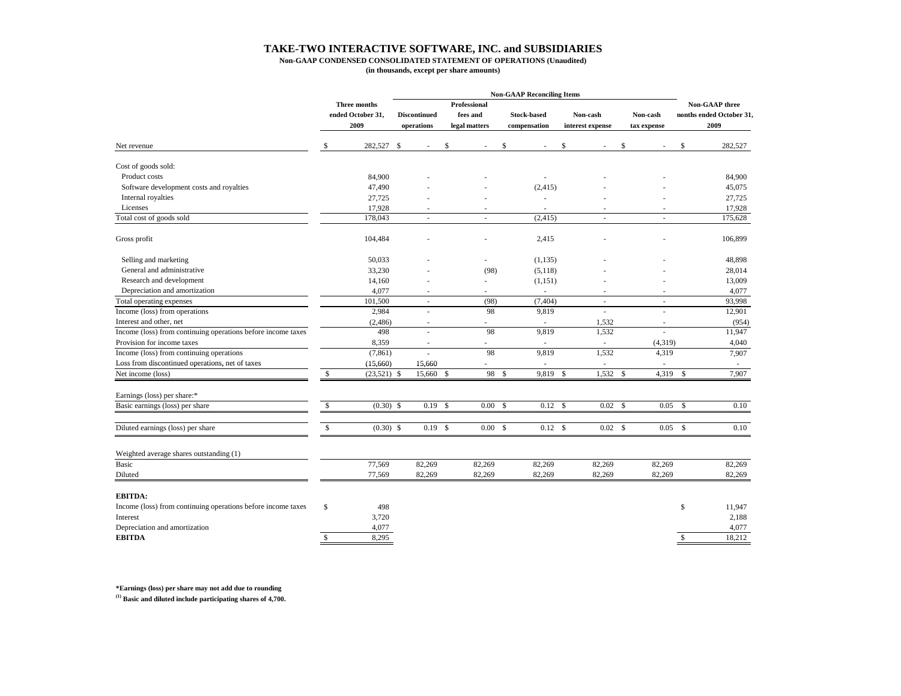**Non-GAAP CONDENSED CONSOLIDATED STATEMENT OF OPERATIONS (Unaudited)**

**(in thousands, except per share amounts)**

|                                                              |               |                   |               |                     |               |               | <b>Non-GAAP Reconciling Items</b> |                       |             |             |              |                          |  |
|--------------------------------------------------------------|---------------|-------------------|---------------|---------------------|---------------|---------------|-----------------------------------|-----------------------|-------------|-------------|--------------|--------------------------|--|
|                                                              |               | Three months      |               |                     | Professional  |               |                                   |                       |             |             |              | Non-GAAP three           |  |
|                                                              |               | ended October 31, |               | <b>Discontinued</b> | fees and      |               | <b>Stock-based</b>                | Non-cash              |             | Non-cash    |              | nonths ended October 31. |  |
|                                                              |               | 2009              |               | operations          | legal matters |               | compensation                      | interest expense      |             | tax expense |              | 2009                     |  |
| Net revenue                                                  | $\mathcal{S}$ | 282,527           | <sup>\$</sup> |                     | \$            | <sup>\$</sup> | $\overline{\phantom{a}}$          | $\mathbb{S}$<br>ä,    | \$          | ä,          | \$           | 282,527                  |  |
| Cost of goods sold:                                          |               |                   |               |                     |               |               |                                   |                       |             |             |              |                          |  |
| Product costs                                                |               | 84,900            |               |                     |               |               |                                   |                       |             |             |              | 84,900                   |  |
| Software development costs and royalties                     |               | 47,490            |               |                     |               |               | (2, 415)                          |                       |             |             |              | 45,075                   |  |
| Internal royalties                                           |               | 27,725            |               |                     |               |               |                                   |                       |             |             |              | 27,725                   |  |
| Licenses                                                     |               | 17,928            |               |                     |               |               | $\sim$                            |                       |             |             |              | 17,928                   |  |
| Total cost of goods sold                                     |               | 178,043           |               | $\sim$              | ×.            |               | (2, 415)                          | ä,                    |             | ä,          |              | 175,628                  |  |
| Gross profit                                                 |               | 104,484           |               |                     |               |               | 2,415                             |                       |             |             |              | 106,899                  |  |
| Selling and marketing                                        |               | 50,033            |               |                     |               |               | (1, 135)                          |                       |             |             |              | 48,898                   |  |
| General and administrative                                   |               | 33,230            |               |                     | (98)          |               | (5,118)                           |                       |             |             |              | 28,014                   |  |
| Research and development                                     |               | 14,160            |               |                     |               |               | (1,151)                           |                       |             |             |              | 13,009                   |  |
| Depreciation and amortization                                |               | 4,077             |               |                     |               |               | $\sim$                            |                       |             |             |              | 4,077                    |  |
| Total operating expenses                                     |               | 101,500           |               | ÷.                  | (98)          |               | (7, 404)                          | ä,                    |             | ä,          |              | 93,998                   |  |
| Income (loss) from operations                                |               | 2,984             |               | $\mathbf{r}$        | 98            |               | 9,819                             | ÷.                    |             | L,          |              | 12,901                   |  |
| Interest and other, net                                      |               | (2,486)           |               |                     |               |               | $\overline{\phantom{a}}$          | 1,532                 |             | ÷,          |              | (954)                    |  |
| Income (loss) from continuing operations before income taxes |               | 498               |               |                     | 98            |               | 9,819                             | 1,532                 |             |             |              | 11,947                   |  |
| Provision for income taxes                                   |               | 8,359             |               |                     |               |               |                                   |                       |             | (4, 319)    |              | 4,040                    |  |
| Income (loss) from continuing operations                     |               | (7, 861)          |               | ÷.                  | 98            |               | 9,819                             | 1,532                 |             | 4,319       |              | 7,907                    |  |
| Loss from discontinued operations, net of taxes              |               | (15,660)          |               | 15,660              |               |               |                                   |                       |             |             |              |                          |  |
| Net income (loss)                                            | $\mathbb S$   | $(23,521)$ \$     |               | 15,660 \$           | 98            | $\mathbb{S}$  | 9,819                             | $\mathbb{S}$<br>1,532 | $\mathbf S$ | 4,319       | $\mathbb{S}$ | 7,907                    |  |
| Earnings (loss) per share:*                                  |               |                   |               |                     |               |               |                                   |                       |             |             |              |                          |  |
| Basic earnings (loss) per share                              | $\sqrt{S}$    | $(0.30)$ \$       |               | 0.19S               | $0.00\,$      | $\mathbb{S}$  | 0.12                              | 0.02<br>$\mathbb{S}$  | -S          | 0.05        | $\mathbb{S}$ | 0.10                     |  |
| Diluted earnings (loss) per share                            | $\mathbb{S}$  | $(0.30)$ \$       |               | 0.19S               | 0.00 S        |               | $0.12 \quad$ \$                   | $0.02 \quad$ \$       |             | 0.05        | -\$          | 0.10                     |  |
| Weighted average shares outstanding (1)                      |               |                   |               |                     |               |               |                                   |                       |             |             |              |                          |  |
| Basic                                                        |               | 77,569            |               | 82,269              | 82,269        |               | 82,269                            | 82,269                |             | 82,269      |              | 82,269                   |  |
| Diluted                                                      |               | 77,569            |               | 82,269              | 82,269        |               | 82,269                            | 82,269                |             | 82,269      |              | 82,269                   |  |
| <b>EBITDA:</b>                                               |               |                   |               |                     |               |               |                                   |                       |             |             |              |                          |  |
| Income (loss) from continuing operations before income taxes | \$            | 498               |               |                     |               |               |                                   |                       |             |             | \$           | 11,947                   |  |
| Interest                                                     |               | 3,720             |               |                     |               |               |                                   |                       |             |             |              | 2,188                    |  |
| Depreciation and amortization                                |               | 4,077             |               |                     |               |               |                                   |                       |             |             |              | 4,077                    |  |
| <b>EBITDA</b>                                                | $\mathbb{S}$  | 8.295             |               |                     |               |               |                                   |                       |             |             | $\mathbf S$  | 18,212                   |  |

**\*Earnings (loss) per share may not add due to rounding**

**(1) Basic and diluted include participating shares of 4,700.**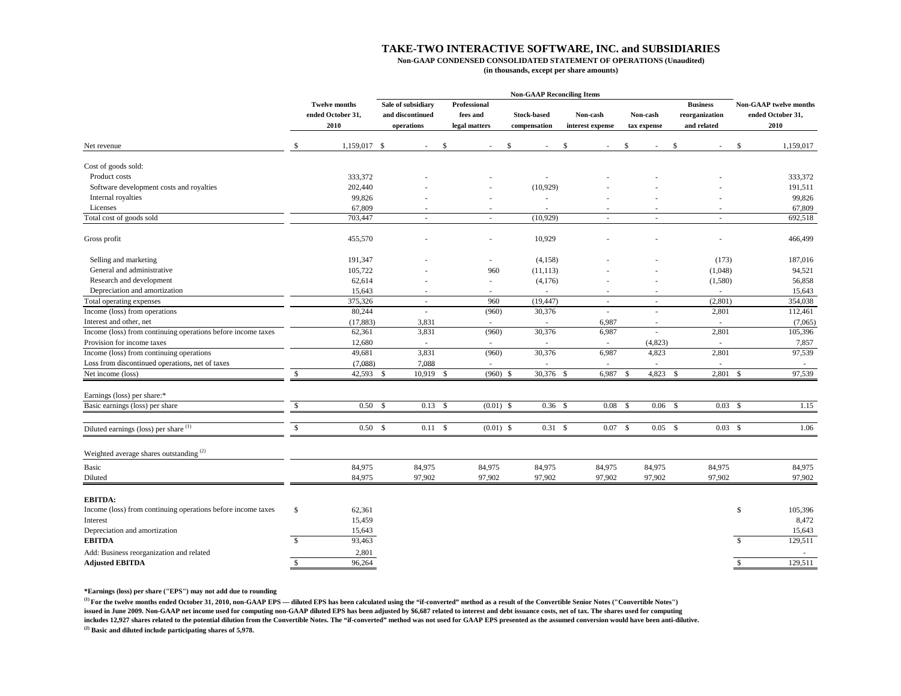#### **Non-GAAP CONDENSED CONSOLIDATED STATEMENT OF OPERATIONS (Unaudited)**

**(in thousands, except per share amounts)**

|                                                                |                          |                      |                         |               |                          | <b>Non-GAAP Reconciling Items</b> |                          |                          |                 |                 |                               |           |
|----------------------------------------------------------------|--------------------------|----------------------|-------------------------|---------------|--------------------------|-----------------------------------|--------------------------|--------------------------|-----------------|-----------------|-------------------------------|-----------|
|                                                                |                          | <b>Twelve months</b> | Sale of subsidiary      |               | Professional             |                                   |                          |                          |                 | <b>Business</b> | <b>Non-GAAP</b> twelve months |           |
|                                                                |                          | ended October 31,    | and discontinued        |               | fees and                 | <b>Stock-based</b>                | Non-cash                 | Non-cash                 |                 | reorganization  | ended October 31,             |           |
|                                                                |                          | 2010                 | operations              |               | legal matters            | compensation                      | interest expense         | tax expense              |                 | and related     | 2010                          |           |
| Net revenue                                                    | S                        | 1,159,017 \$         |                         | $\mathcal{S}$ |                          | -\$                               | <sup>\$</sup>            | \$.                      | <sup>\$</sup>   |                 | \$                            | 1,159,017 |
| Cost of goods sold:                                            |                          |                      |                         |               |                          |                                   |                          |                          |                 |                 |                               |           |
| Product costs                                                  |                          | 333,372              |                         |               |                          | ł,                                |                          |                          |                 |                 |                               | 333,372   |
| Software development costs and royalties                       |                          | 202,440              |                         |               |                          | (10,929)                          |                          |                          |                 |                 |                               | 191,511   |
| Internal royalties                                             |                          | 99,826               |                         |               |                          | ä,                                |                          |                          |                 |                 |                               | 99,826    |
| Licenses                                                       |                          | 67,809               |                         |               | $\overline{\phantom{a}}$ | $\sim$                            | ×                        |                          |                 |                 |                               | 67,809    |
| Total cost of goods sold                                       |                          | 703,447              | $\sim$                  |               | ÷.                       | (10, 929)                         | $\sim$                   | $\sim$                   |                 | $\sim$          |                               | 692,518   |
| Gross profit                                                   |                          | 455,570              |                         |               |                          | 10,929                            |                          |                          |                 |                 |                               | 466,499   |
| Selling and marketing                                          |                          | 191,347              |                         |               | ÷,                       | (4,158)                           |                          |                          |                 | (173)           |                               | 187,016   |
| General and administrative                                     |                          | 105,722              |                         |               |                          |                                   |                          |                          |                 | (1,048)         |                               | 94,521    |
| Research and development                                       |                          | 62,614               |                         |               | 960<br>ä,                | (11, 113)<br>(4,176)              |                          |                          |                 | (1,580)         |                               | 56,858    |
| Depreciation and amortization                                  |                          | 15,643               | $\sim$                  |               | $\overline{\phantom{a}}$ | $\omega$                          | $\overline{\phantom{a}}$ | $\overline{\phantom{a}}$ |                 | $\sim$          |                               | 15,643    |
| Total operating expenses                                       |                          | 375,326              | ٠                       |               | 960                      | (19, 447)                         | ×.                       | ×.                       |                 | (2,801)         |                               | 354,038   |
| Income (loss) from operations                                  |                          | 80,244               | ٠                       |               | (960)                    | 30,376                            | ×.                       | $\overline{\phantom{a}}$ |                 | 2,801           |                               | 112,461   |
| Interest and other, net                                        |                          | (17, 883)            | 3,831                   |               | ×                        | $\overline{\phantom{a}}$          | 6,987                    | $\sim$                   |                 | $\sim$          |                               | (7,065)   |
| Income (loss) from continuing operations before income taxes   |                          | 62,361               | 3,831                   |               | (960)                    | 30,376                            | 6,987                    |                          |                 | 2,801           |                               | 105,396   |
| Provision for income taxes                                     |                          | 12,680               | ×,                      |               | ÷.                       | ×,                                | ×.                       | (4,823)                  |                 |                 |                               | 7,857     |
| Income (loss) from continuing operations                       |                          | 49,681               | 3,831                   |               | (960)                    | 30,376                            | 6,987                    | 4,823                    |                 | 2,801           |                               | 97,539    |
| Loss from discontinued operations, net of taxes                |                          | (7,088)              | 7,088                   |               |                          |                                   | $\sim$                   |                          |                 |                 |                               |           |
| Net income (loss)                                              | \$                       | 42,593               | 10,919<br><sup>\$</sup> | -\$           | $(960)$ \$               | 30,376 \$                         | 6,987                    | 4,823<br>$\mathbb{S}$    | $\mathbb{S}$    | 2,801           | $\mathbf s$                   | 97,539    |
|                                                                |                          |                      |                         |               |                          |                                   |                          |                          |                 |                 |                               |           |
| Earnings (loss) per share:*<br>Basic earnings (loss) per share | $\overline{\mathcal{S}}$ | 0.50S                | $0.13$ \$               |               | $(0.01)$ \$              | $0.36$ \$                         | $0.08-$                  | $0.06$ \$                |                 | $0.03$ \$       |                               | 1.15      |
| Diluted earnings (loss) per share <sup>(1)</sup>               | $\mathbb{S}$             | 0.50 S               | $0.11 \,$ \$            |               | $(0.01)$ \$              | 0.31 S                            | $0.07$ \$                |                          | $0.05 \quad$ \$ | 0.03 S          |                               | 1.06      |
|                                                                |                          |                      |                         |               |                          |                                   |                          |                          |                 |                 |                               |           |
| Weighted average shares outstanding <sup>(2)</sup>             |                          |                      |                         |               |                          |                                   |                          |                          |                 |                 |                               |           |
| Basic                                                          |                          | 84,975               | 84,975                  |               | 84,975                   | 84,975                            | 84,975                   | 84,975                   |                 | 84,975          |                               | 84,975    |
| Diluted                                                        |                          | 84,975               | 97,902                  |               | 97,902                   | 97,902                            | 97,902                   | 97,902                   |                 | 97,902          |                               | 97,902    |
| EBITDA:                                                        |                          |                      |                         |               |                          |                                   |                          |                          |                 |                 |                               |           |
| Income (loss) from continuing operations before income taxes   | $\mathbb{S}$             | 62,361               |                         |               |                          |                                   |                          |                          |                 |                 | \$                            | 105,396   |
| Interest                                                       |                          | 15,459               |                         |               |                          |                                   |                          |                          |                 |                 |                               | 8,472     |
| Depreciation and amortization                                  |                          | 15,643               |                         |               |                          |                                   |                          |                          |                 |                 |                               | 15,643    |
| <b>EBITDA</b>                                                  | <sup>\$</sup>            | 93,463               |                         |               |                          |                                   |                          |                          |                 |                 | <sup>\$</sup>                 | 129,511   |
| Add: Business reorganization and related                       |                          | 2,801                |                         |               |                          |                                   |                          |                          |                 |                 |                               | $\sim$    |
| <b>Adjusted EBITDA</b>                                         | $\mathcal{S}$            | 96,264               |                         |               |                          |                                   |                          |                          |                 |                 | $\mathbf S$                   | 129,511   |

**\*Earnings (loss) per share ("EPS") may not add due to rounding**

**(1) For the twelve months ended October 31, 2010, non-GAAP EPS — diluted EPS has been calculated using the "if-converted" method as a result of the Convertible Senior Notes ("Convertible Notes") issued in June 2009. Non-GAAP net income used for computing non-GAAP diluted EPS has been adjusted by \$6,687 related to interest and debt issuance costs, net of tax. The shares used for computing includes 12,927 shares related to the potential dilution from the Convertible Notes. The "if-converted" method was not used for GAAP EPS presented as the assumed conversion would have been anti-dilutive.**

**(2) Basic and diluted include participating shares of 5,978.**